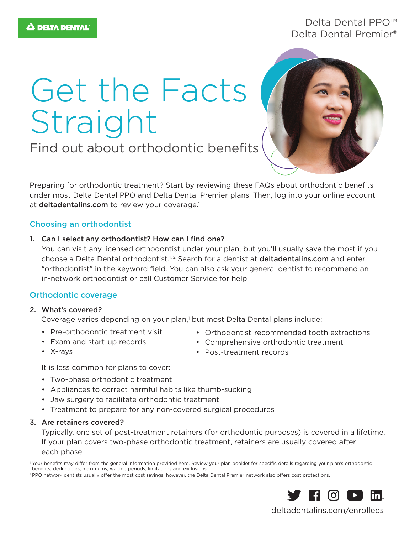# Delta Dental PPO™ Delta Dental Premier®

# Get the Facts Straight



Find out about orthodontic benefits

Preparing for orthodontic treatment? Start by reviewing these FAQs about orthodontic benefits under most Delta Dental PPO and Delta Dental Premier plans. Then, log into your online account at deltadentalins.com to review your coverage.<sup>1</sup>

# Choosing an orthodontist

1. Can I select any orthodontist? How can I find one?

You can visit any licensed orthodontist under your plan, but you'll usually save the most if you choose a Delta Dental orthodontist.<sup>1, 2</sup> Search for a dentist at deltadentalins.com and enter "orthodontist" in the keyword field. You can also ask your general dentist to recommend an in-network orthodontist or call Customer Service for help.

# Orthodontic coverage

#### 2. What's covered?

Coverage varies depending on your plan,<sup>1</sup> but most Delta Dental plans include:

- Pre-orthodontic treatment visit
- Orthodontist-recommended tooth extractions
- Exam and start-up records
- Comprehensive orthodontic treatment
- Post-treatment records

• X-rays

It is less common for plans to cover:

- Two-phase orthodontic treatment
- Appliances to correct harmful habits like thumb-sucking
- Jaw surgery to facilitate orthodontic treatment
- Treatment to prepare for any non-covered surgical procedures

# 3. Are retainers covered?

Typically, one set of post-treatment retainers (for orthodontic purposes) is covered in a lifetime. If your plan covers two-phase orthodontic treatment, retainers are usually covered after each phase.

<sup>&</sup>lt;sup>2</sup> PPO network dentists usually offer the most cost savings; however, the Delta Dental Premier network also offers cost protections.



deltadentalins.com/enrollees

<sup>1</sup> Your benefits may differ from the general information provided here. Review your plan booklet for specific details regarding your plan's orthodontic benefits, deductibles, maximums, waiting periods, limitations and exclusions.